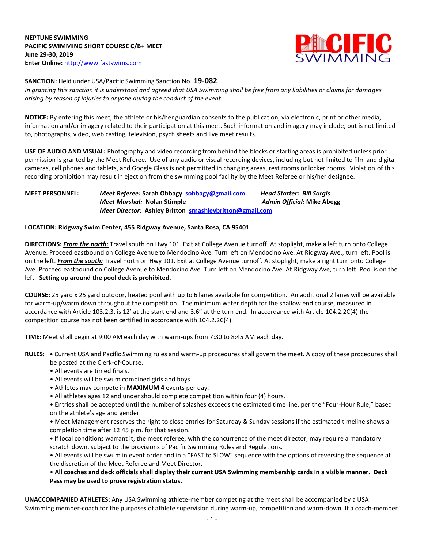**NEPTUNE SWIMMING PACIFIC SWIMMING SHORT COURSE C/B+ MEET June 29-30, 2019 Enter Online:** [http://www.fastswims.com](http://www.fastswims.com/)



#### **SANCTION:** Held under USA/Pacific Swimming Sanction No. **19-082**

*In granting this sanction it is understood and agreed that USA Swimming shall be free from any liabilities or claims for damages arising by reason of injuries to anyone during the conduct of the event.*

**NOTICE:** By entering this meet, the athlete or his/her guardian consents to the publication, via electronic, print or other media, information and/or imagery related to their participation at this meet. Such information and imagery may include, but is not limited to, photographs, video, web casting, television, psych sheets and live meet results.

**USE OF AUDIO AND VISUAL:** Photography and video recording from behind the blocks or starting areas is prohibited unless prior permission is granted by the Meet Referee. Use of any audio or visual recording devices, including but not limited to film and digital cameras, cell phones and tablets, and Google Glass is not permitted in changing areas, rest rooms or locker rooms. Violation of this recording prohibition may result in ejection from the swimming pool facility by the Meet Referee or his/her designee.

### **MEET PERSONNEL:** *Meet Referee:* **Sarah Obbagy [sobbagy@gmail.com](mailto:sobbagy@gmail.com)** *Head Starter: Bill Sargis Meet Marshal:* **Nolan Stimple** *Admin Official:* **Mike Abegg** *Meet Director:* **Ashley Britton [srnashleybritton@gmail.com](mailto:srnashleybritton@gmail.com)**

### **LOCATION: Ridgway Swim Center, 455 Ridgway Avenue, Santa Rosa, CA 95401**

**DIRECTIONS:** *From the north:* Travel south on Hwy 101. Exit at College Avenue turnoff. At stoplight, make a left turn onto College Avenue. Proceed eastbound on College Avenue to Mendocino Ave. Turn left on Mendocino Ave. At Ridgway Ave., turn left. Pool is on the left. *From the south:* Travel north on Hwy 101. Exit at College Avenue turnoff. At stoplight, make a right turn onto College Ave. Proceed eastbound on College Avenue to Mendocino Ave. Turn left on Mendocino Ave. At Ridgway Ave, turn left. Pool is on the left. **Setting up around the pool deck is prohibited.**

**COURSE:** 25 yard x 25 yard outdoor, heated pool with up to 6 lanes available for competition. An additional 2 lanes will be available for warm-up/warm down throughout the competition. The minimum water depth for the shallow end course, measured in accordance with Article 103.2.3, is 12' at the start end and 3.6" at the turn end. In accordance with Article 104.2.2C(4) the competition course has not been certified in accordance with 104.2.2C(4).

**TIME:** Meet shall begin at 9:00 AM each day with warm-ups from 7:30 to 8:45 AM each day.

- **RULES: •** Current USA and Pacific Swimming rules and warm-up procedures shall govern the meet. A copy of these procedures shall be posted at the Clerk-of-Course.
	- All events are timed finals.
	- All events will be swum combined girls and boys.
	- Athletes may compete in **MAXIMUM 4** events per day.
	- All athletes ages 12 and under should complete competition within four (4) hours.
	- Entries shall be accepted until the number of splashes exceeds the estimated time line, per the "Four-Hour Rule," based on the athlete's age and gender.
	- Meet Management reserves the right to close entries for Saturday & Sunday sessions if the estimated timeline shows a completion time after 12:45 p.m. for that session.
	- **•** If local conditions warrant it, the meet referee, with the concurrence of the meet director, may require a mandatory scratch down, subject to the provisions of Pacific Swimming Rules and Regulations.

• All events will be swum in event order and in a "FAST to SLOW" sequence with the options of reversing the sequence at the discretion of the Meet Referee and Meet Director.

• **All coaches and deck officials shall display their current USA Swimming membership cards in a visible manner. Deck Pass may be used to prove registration status.**

**UNACCOMPANIED ATHLETES:** Any USA Swimming athlete-member competing at the meet shall be accompanied by a USA Swimming member-coach for the purposes of athlete supervision during warm-up, competition and warm-down. If a coach-member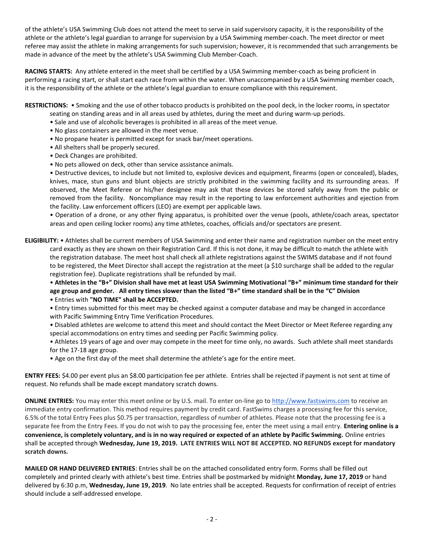of the athlete's USA Swimming Club does not attend the meet to serve in said supervisory capacity, it is the responsibility of the athlete or the athlete's legal guardian to arrange for supervision by a USA Swimming member-coach. The meet director or meet referee may assist the athlete in making arrangements for such supervision; however, it is recommended that such arrangements be made in advance of the meet by the athlete's USA Swimming Club Member-Coach.

**RACING STARTS:** Any athlete entered in the meet shall be certified by a USA Swimming member-coach as being proficient in performing a racing start, or shall start each race from within the water. When unaccompanied by a USA Swimming member coach, it is the responsibility of the athlete or the athlete's legal guardian to ensure compliance with this requirement.

**RESTRICTIONS:** • Smoking and the use of other tobacco products is prohibited on the pool deck, in the locker rooms, in spectator

- seating on standing areas and in all areas used by athletes, during the meet and during warm-up periods.
- Sale and use of alcoholic beverages is prohibited in all areas of the meet venue.
- No glass containers are allowed in the meet venue.
- No propane heater is permitted except for snack bar/meet operations.
- All shelters shall be properly secured.
- Deck Changes are prohibited.
- No pets allowed on deck, other than service assistance animals.

• Destructive devices, to include but not limited to, explosive devices and equipment, firearms (open or concealed), blades, knives, mace, stun guns and blunt objects are strictly prohibited in the swimming facility and its surrounding areas. If observed, the Meet Referee or his/her designee may ask that these devices be stored safely away from the public or removed from the facility. Noncompliance may result in the reporting to law enforcement authorities and ejection from the facility. Law enforcement officers (LEO) are exempt per applicable laws.

• Operation of a drone, or any other flying apparatus, is prohibited over the venue (pools, athlete/coach areas, spectator areas and open ceiling locker rooms) any time athletes, coaches, officials and/or spectators are present.

**ELIGIBILITY:** • Athletes shall be current members of USA Swimming and enter their name and registration number on the meet entry card exactly as they are shown on their Registration Card. If this is not done, it may be difficult to match the athlete with the registration database. The meet host shall check all athlete registrations against the SWIMS database and if not found to be registered, the Meet Director shall accept the registration at the meet (a \$10 surcharge shall be added to the regular registration fee). Duplicate registrations shall be refunded by mail.

• **Athletes in the "B+" Division shall have met at least USA Swimming Motivational "B+" minimum time standard for their age group and gender. All entry times slower than the listed "B+" time standard shall be in the "C" Division**

• Entries with **"NO TIME" shall be ACCEPTED.**

• Entry times submitted for this meet may be checked against a computer database and may be changed in accordance with Pacific Swimming Entry Time Verification Procedures.

• Disabled athletes are welcome to attend this meet and should contact the Meet Director or Meet Referee regarding any special accommodations on entry times and seeding per Pacific Swimming policy.

• Athletes 19 years of age and over may compete in the meet for time only, no awards. Such athlete shall meet standards for the 17-18 age group.

• Age on the first day of the meet shall determine the athlete's age for the entire meet.

**ENTRY FEES:** \$4.00 per event plus an \$8.00 participation fee per athlete. Entries shall be rejected if payment is not sent at time of request. No refunds shall be made except mandatory scratch downs.

**ONLINE ENTRIES:** You may enter this meet online or by U.S. mail. To enter on-line go to [http://www.fastswims.com](http://www.fastswims.com/) to receive an immediate entry confirmation. This method requires payment by credit card. FastSwims charges a processing fee for this service, 6.5% of the total Entry Fees plus \$0.75 per transaction, regardless of number of athletes. Please note that the processing fee is a separate fee from the Entry Fees. If you do not wish to pay the processing fee, enter the meet using a mail entry. **Entering online is a convenience, is completely voluntary, and is in no way required or expected of an athlete by Pacific Swimming.** Online entries shall be accepted through **Wednesday, June 19, 2019. LATE ENTRIES WILL NOT BE ACCEPTED. NO REFUNDS except for mandatory scratch downs.**

**MAILED OR HAND DELIVERED ENTRIES**: Entries shall be on the attached consolidated entry form. Forms shall be filled out completely and printed clearly with athlete's best time. Entries shall be postmarked by midnight **Monday, June 17, 2019** or hand delivered by 6:30 p.m, **Wednesday, June 19, 2019**. No late entries shall be accepted. Requests for confirmation of receipt of entries should include a self-addressed envelope.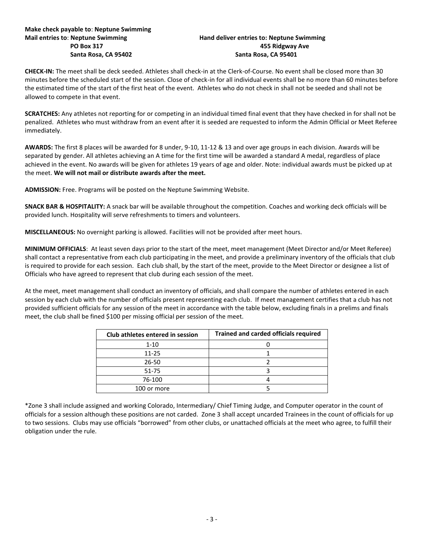# **PO Box 317 455 Ridgway Ave Santa Rosa, CA 95402 Santa Rosa, CA 95401**

**CHECK-IN:** The meet shall be deck seeded. Athletes shall check-in at the Clerk-of-Course. No event shall be closed more than 30 minutes before the scheduled start of the session. Close of check-in for all individual events shall be no more than 60 minutes before the estimated time of the start of the first heat of the event. Athletes who do not check in shall not be seeded and shall not be allowed to compete in that event.

**SCRATCHES:** Any athletes not reporting for or competing in an individual timed final event that they have checked in for shall not be penalized. Athletes who must withdraw from an event after it is seeded are requested to inform the Admin Official or Meet Referee immediately.

**AWARDS:** The first 8 places will be awarded for 8 under, 9-10, 11-12 & 13 and over age groups in each division. Awards will be separated by gender. All athletes achieving an A time for the first time will be awarded a standard A medal, regardless of place achieved in the event. No awards will be given for athletes 19 years of age and older. Note: individual awards must be picked up at the meet. **We will not mail or distribute awards after the meet.**

**ADMISSION:** Free. Programs will be posted on the Neptune Swimming Website.

**SNACK BAR & HOSPITALITY:** A snack bar will be available throughout the competition. Coaches and working deck officials will be provided lunch. Hospitality will serve refreshments to timers and volunteers.

**MISCELLANEOUS:** No overnight parking is allowed. Facilities will not be provided after meet hours.

**MINIMUM OFFICIALS**: At least seven days prior to the start of the meet, meet management (Meet Director and/or Meet Referee) shall contact a representative from each club participating in the meet, and provide a preliminary inventory of the officials that club is required to provide for each session. Each club shall, by the start of the meet, provide to the Meet Director or designee a list of Officials who have agreed to represent that club during each session of the meet.

At the meet, meet management shall conduct an inventory of officials, and shall compare the number of athletes entered in each session by each club with the number of officials present representing each club. If meet management certifies that a club has not provided sufficient officials for any session of the meet in accordance with the table below, excluding finals in a prelims and finals meet, the club shall be fined \$100 per missing official per session of the meet.

| Club athletes entered in session | <b>Trained and carded officials required</b> |
|----------------------------------|----------------------------------------------|
| $1 - 10$                         |                                              |
| 11-25                            |                                              |
| 26-50                            |                                              |
| $51 - 75$                        |                                              |
| 76-100                           |                                              |
| 100 or more                      |                                              |

\*Zone 3 shall include assigned and working Colorado, Intermediary/ Chief Timing Judge, and Computer operator in the count of officials for a session although these positions are not carded. Zone 3 shall accept uncarded Trainees in the count of officials for up to two sessions. Clubs may use officials "borrowed" from other clubs, or unattached officials at the meet who agree, to fulfill their obligation under the rule.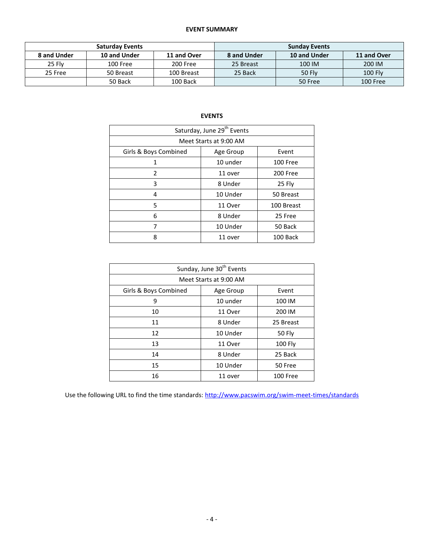### **EVENT SUMMARY**

|               | <b>Saturday Events</b> |             | <b>Sunday Events</b> |               |                |  |  |
|---------------|------------------------|-------------|----------------------|---------------|----------------|--|--|
| 8 and Under   | 10 and Under           | 11 and Over | 8 and Under          | 10 and Under  | 11 and Over    |  |  |
| <b>25 Flv</b> | 100 Free               | 200 Free    | 25 Breast            | 100 IM        | 200 IM         |  |  |
| 25 Free       | 50 Breast              | 100 Breast  | 25 Back              | <b>50 Fly</b> | <b>100 Fly</b> |  |  |
|               | 50 Back                | 100 Back    |                      | 50 Free       | 100 Free       |  |  |

## **EVENTS**

| Saturday, June 29 <sup>th</sup> Events |           |            |  |  |  |  |  |  |
|----------------------------------------|-----------|------------|--|--|--|--|--|--|
| Meet Starts at 9:00 AM                 |           |            |  |  |  |  |  |  |
| Girls & Boys Combined                  | Age Group | Event      |  |  |  |  |  |  |
| 1                                      | 10 under  | 100 Free   |  |  |  |  |  |  |
| $\mathfrak{p}$                         | 11 over   | 200 Free   |  |  |  |  |  |  |
| 3                                      | 8 Under   | 25 Fly     |  |  |  |  |  |  |
| 4                                      | 10 Under  | 50 Breast  |  |  |  |  |  |  |
| 5                                      | 11 Over   | 100 Breast |  |  |  |  |  |  |
| 6                                      | 8 Under   | 25 Free    |  |  |  |  |  |  |
| 7                                      | 10 Under  | 50 Back    |  |  |  |  |  |  |
| 8                                      | 11 over   | 100 Back   |  |  |  |  |  |  |

| Sunday, June 30 <sup>th</sup> Events |           |                 |  |  |  |  |  |  |
|--------------------------------------|-----------|-----------------|--|--|--|--|--|--|
| Meet Starts at 9:00 AM               |           |                 |  |  |  |  |  |  |
| Girls & Boys Combined                | Age Group | Event           |  |  |  |  |  |  |
| 9                                    | 10 under  | 100 IM          |  |  |  |  |  |  |
| 10                                   | 11 Over   | 200 IM          |  |  |  |  |  |  |
| 11                                   | 8 Under   | 25 Breast       |  |  |  |  |  |  |
| 12                                   | 10 Under  | 50 Fly          |  |  |  |  |  |  |
| 13                                   | 11 Over   | <b>100 Flv</b>  |  |  |  |  |  |  |
| 14                                   | 8 Under   | 25 Back         |  |  |  |  |  |  |
| 15                                   | 10 Under  | 50 Free         |  |  |  |  |  |  |
| 16                                   | 11 over   | <b>100 Free</b> |  |  |  |  |  |  |

Use the following URL to find the time standards:<http://www.pacswim.org/swim-meet-times/standards>